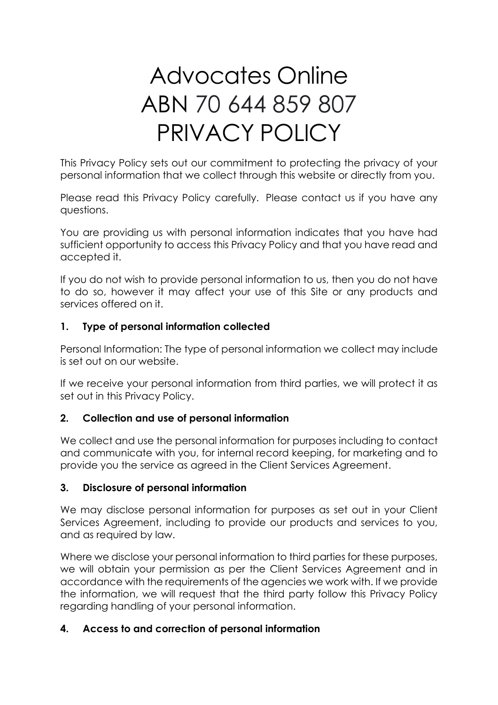# Advocates Online ABN 70 644 859 807 PRIVACY POLICY

This Privacy Policy sets out our commitment to protecting the privacy of your personal information that we collect through this website or directly from you.

Please read this Privacy Policy carefully. Please contact us if you have any questions.

You are providing us with personal information indicates that you have had sufficient opportunity to access this Privacy Policy and that you have read and accepted it.

If you do not wish to provide personal information to us, then you do not have to do so, however it may affect your use of this Site or any products and services offered on it.

# **1. Type of personal information collected**

Personal Information: The type of personal information we collect may include is set out on our website.

If we receive your personal information from third parties, we will protect it as set out in this Privacy Policy.

#### **2. Collection and use of personal information**

We collect and use the personal information for purposes including to contact and communicate with you, for internal record keeping, for marketing and to provide you the service as agreed in the Client Services Agreement.

#### **3. Disclosure of personal information**

We may disclose personal information for purposes as set out in your Client Services Agreement, including to provide our products and services to you, and as required by law.

Where we disclose your personal information to third parties for these purposes, we will obtain your permission as per the Client Services Agreement and in accordance with the requirements of the agencies we work with. If we provide the information, we will request that the third party follow this Privacy Policy regarding handling of your personal information.

#### **4. Access to and correction of personal information**